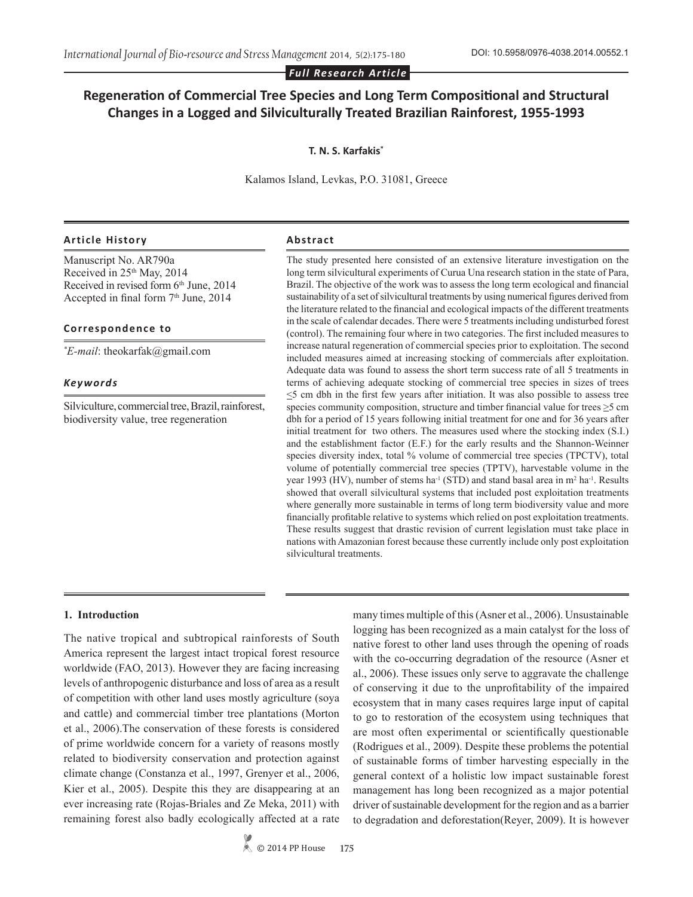## *Full Research Article*

# **Regeneration of Commercial Tree Species and Long Term Compositional and Structural Changes in a Logged and Silviculturally Treated Brazilian Rainforest, 1955-1993**

## **T. N. S. Karfakis\***

Kalamos Island, Levkas, P.O. 31081, Greece

#### **Article History Abstract**

Manuscript No. AR790a Received in 25<sup>th</sup> May, 2014 Received in revised form 6<sup>th</sup> June, 2014 Accepted in final form  $7<sup>th</sup>$  June, 2014

## **Correspondence to**

*\* E-mail*: theokarfak@gmail.com

#### *Keywords*

Silviculture, commercial tree, Brazil, rainforest, biodiversity value, tree regeneration

The study presented here consisted of an extensive literature investigation on the long term silvicultural experiments of Curua Una research station in the state of Para, Brazil. The objective of the work was to assess the long term ecological and financial sustainability of a set of silvicultural treatments by using numerical figures derived from the literature related to the financial and ecological impacts of the different treatments in the scale of calendar decades. There were 5 treatments including undisturbed forest (control). The remaining four where in two categories. The first included measures to increase natural regeneration of commercial species prior to exploitation. The second included measures aimed at increasing stocking of commercials after exploitation. Adequate data was found to assess the short term success rate of all 5 treatments in terms of achieving adequate stocking of commercial tree species in sizes of trees  $\leq$ 5 cm dbh in the first few years after initiation. It was also possible to assess tree species community composition, structure and timber financial value for trees >5 cm dbh for a period of 15 years following initial treatment for one and for 36 years after initial treatment for two others. The measures used where the stocking index (S.I.) and the establishment factor (E.F.) for the early results and the Shannon-Weinner species diversity index, total % volume of commercial tree species (TPCTV), total volume of potentially commercial tree species (TPTV), harvestable volume in the year 1993 (HV), number of stems ha<sup>-1</sup> (STD) and stand basal area in  $m^2$  ha<sup>-1</sup>. Results showed that overall silvicultural systems that included post exploitation treatments where generally more sustainable in terms of long term biodiversity value and more financially profitable relative to systems which relied on post exploitation treatments. These results suggest that drastic revision of current legislation must take place in nations with Amazonian forest because these currently include only post exploitation silvicultural treatments.

#### **1. Introduction**

The native tropical and subtropical rainforests of South America represent the largest intact tropical forest resource worldwide (FAO, 2013). However they are facing increasing levels of anthropogenic disturbance and loss of area as a result of competition with other land uses mostly agriculture (soya and cattle) and commercial timber tree plantations (Morton et al., 2006).The conservation of these forests is considered of prime worldwide concern for a variety of reasons mostly related to biodiversity conservation and protection against climate change (Constanza et al., 1997, Grenyer et al., 2006, Kier et al., 2005). Despite this they are disappearing at an ever increasing rate (Rojas-Briales and Ze Meka, 2011) with remaining forest also badly ecologically affected at a rate

> © 2014 PP House **175**

many times multiple of this (Asner et al., 2006). Unsustainable logging has been recognized as a main catalyst for the loss of native forest to other land uses through the opening of roads with the co-occurring degradation of the resource (Asner et al., 2006). These issues only serve to aggravate the challenge of conserving it due to the unprofitability of the impaired ecosystem that in many cases requires large input of capital to go to restoration of the ecosystem using techniques that are most often experimental or scientifically questionable (Rodrigues et al., 2009). Despite these problems the potential of sustainable forms of timber harvesting especially in the general context of a holistic low impact sustainable forest management has long been recognized as a major potential driver of sustainable development for the region and as a barrier to degradation and deforestation(Reyer, 2009). It is however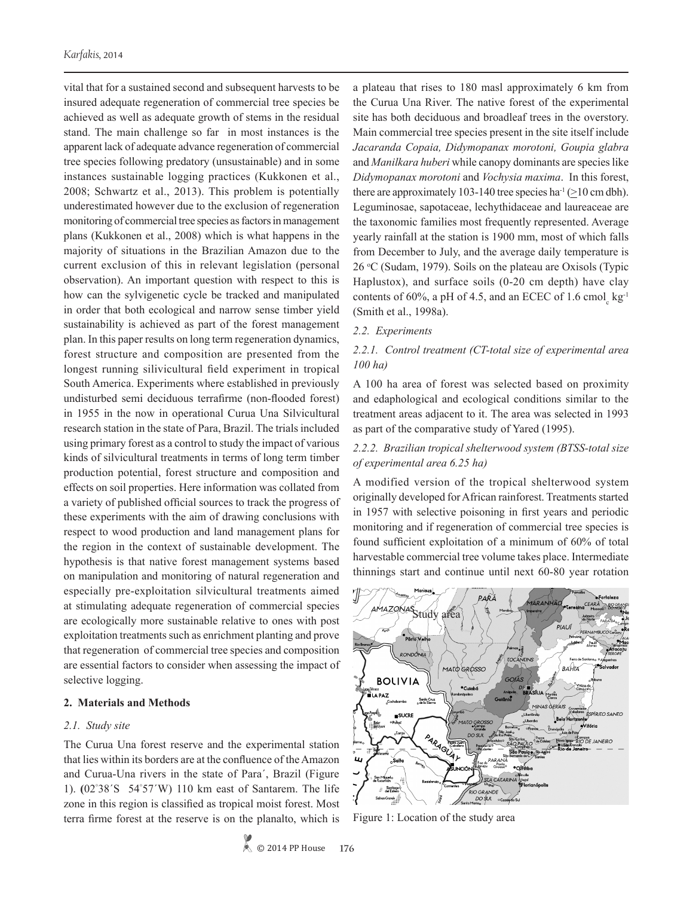vital that for a sustained second and subsequent harvests to be insured adequate regeneration of commercial tree species be achieved as well as adequate growth of stems in the residual stand. The main challenge so far in most instances is the apparent lack of adequate advance regeneration of commercial tree species following predatory (unsustainable) and in some instances sustainable logging practices (Kukkonen et al., 2008; Schwartz et al., 2013). This problem is potentially underestimated however due to the exclusion of regeneration monitoring of commercial tree species as factors in management plans (Kukkonen et al., 2008) which is what happens in the majority of situations in the Brazilian Amazon due to the current exclusion of this in relevant legislation (personal observation). An important question with respect to this is how can the sylvigenetic cycle be tracked and manipulated in order that both ecological and narrow sense timber yield sustainability is achieved as part of the forest management plan. In this paper results on long term regeneration dynamics, forest structure and composition are presented from the longest running silivicultural field experiment in tropical South America. Experiments where established in previously undisturbed semi deciduous terrafirme (non-flooded forest) in 1955 in the now in operational Curua Una Silvicultural research station in the state of Para, Brazil. The trials included using primary forest as a control to study the impact of various kinds of silvicultural treatments in terms of long term timber production potential, forest structure and composition and effects on soil properties. Here information was collated from a variety of published official sources to track the progress of these experiments with the aim of drawing conclusions with respect to wood production and land management plans for the region in the context of sustainable development. The hypothesis is that native forest management systems based on manipulation and monitoring of natural regeneration and especially pre-exploitation silvicultural treatments aimed at stimulating adequate regeneration of commercial species are ecologically more sustainable relative to ones with post exploitation treatments such as enrichment planting and prove that regeneration of commercial tree species and composition are essential factors to consider when assessing the impact of selective logging.

## **2. Materials and Methods**

#### *2.1. Study site*

The Curua Una forest reserve and the experimental station that lies within its borders are at the confluence of the Amazon and Curua-Una rivers in the state of Para´, Brazil (Figure 1). **(**02° 38´S 54° 57´W) 110 km east of Santarem. The life zone in this region is classified as tropical moist forest. Most terra firme forest at the reserve is on the planalto, which is

a plateau that rises to 180 masl approximately 6 km from the Curua Una River. The native forest of the experimental site has both deciduous and broadleaf trees in the overstory. Main commercial tree species present in the site itself include *Jacaranda Copaia, Didymopanax morotoni, Goupia glabra* and *Manilkara huberi* while canopy dominants are species like *Didymopanax morotoni* and *Vochysia maxima*. In this forest, there are approximately 103-140 tree species ha<sup>-1</sup> ( $\geq$ 10 cm dbh). Leguminosae, sapotaceae, lechythidaceae and laureaceae are the taxonomic families most frequently represented. Average yearly rainfall at the station is 1900 mm, most of which falls from December to July, and the average daily temperature is 26 °C (Sudam, 1979). Soils on the plateau are Oxisols (Typic Haplustox), and surface soils (0-20 cm depth) have clay contents of 60%, a pH of 4.5, and an ECEC of  $1.6 \text{ cmol}_c \text{ kg}^{-1}$ (Smith et al., 1998a).

## *2.2. Experiments*

## *2.2.1. Control treatment (CT-total size of experimental area 100 ha)*

A 100 ha area of forest was selected based on proximity and edaphological and ecological conditions similar to the treatment areas adjacent to it. The area was selected in 1993 as part of the comparative study of Yared (1995).

## *2.2.2. Brazilian tropical shelterwood system (BTSS-total size of experimental area 6.25 ha)*

A modified version of the tropical shelterwood system originally developed for African rainforest. Treatments started in 1957 with selective poisoning in first years and periodic monitoring and if regeneration of commercial tree species is found sufficient exploitation of a minimum of 60% of total harvestable commercial tree volume takes place. Intermediate thinnings start and continue until next 60-80 year rotation



Figure 1: Location of the study area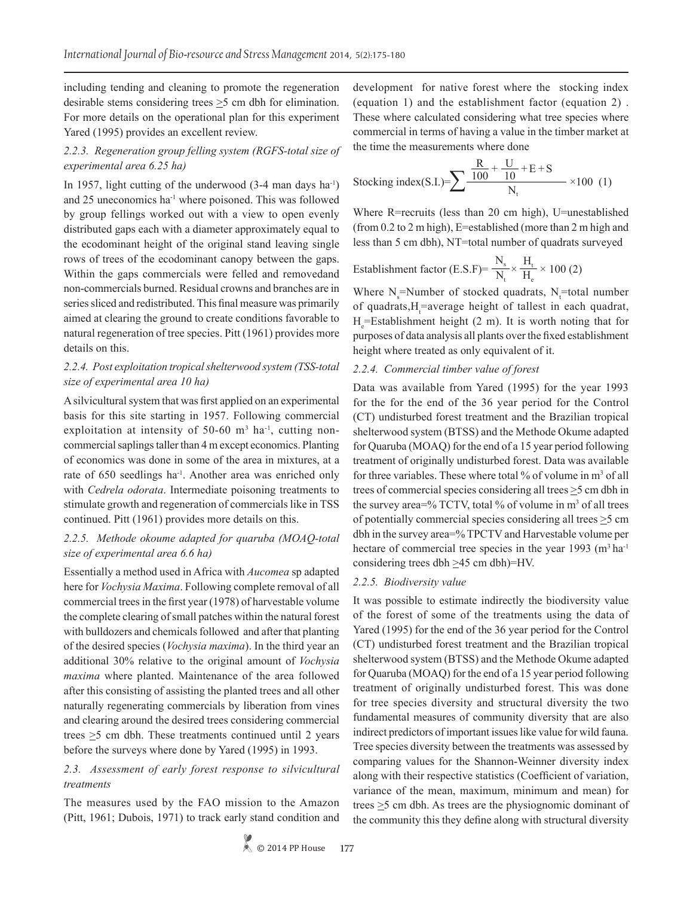including tending and cleaning to promote the regeneration desirable stems considering trees  $\geq$ 5 cm dbh for elimination. For more details on the operational plan for this experiment Yared (1995) provides an excellent review.

## *2.2.3. Regeneration group felling system (RGFS-total size of experimental area 6.25 ha)*

In 1957, light cutting of the underwood  $(3-4 \text{ man days ha}^{-1})$ and 25 uneconomics ha<sup>-1</sup> where poisoned. This was followed by group fellings worked out with a view to open evenly distributed gaps each with a diameter approximately equal to the ecodominant height of the original stand leaving single rows of trees of the ecodominant canopy between the gaps. Within the gaps commercials were felled and removedand non-commercials burned. Residual crowns and branches are in series sliced and redistributed. This final measure was primarily aimed at clearing the ground to create conditions favorable to natural regeneration of tree species. Pitt (1961) provides more details on this.

## *2.2.4. Post exploitation tropical shelterwood system (TSS-total size of experimental area 10 ha)*

A silvicultural system that was first applied on an experimental basis for this site starting in 1957. Following commercial exploitation at intensity of 50-60  $m<sup>3</sup>$  ha<sup>-1</sup>, cutting noncommercial saplings taller than 4 m except economics. Planting of economics was done in some of the area in mixtures, at a rate of 650 seedlings ha<sup>-1</sup>. Another area was enriched only with *Cedrela odorata*. Intermediate poisoning treatments to stimulate growth and regeneration of commercials like in TSS continued. Pitt (1961) provides more details on this.

## *2.2.5. Methode okoume adapted for quaruba (MOAQ-total size of experimental area 6.6 ha)*

Essentially a method used in Africa with *Aucomea* sp adapted here for *Vochysia Maxima*. Following complete removal of all commercial trees in the first year (1978) of harvestable volume the complete clearing of small patches within the natural forest with bulldozers and chemicals followed and after that planting of the desired species (*Vochysia maxima*). In the third year an additional 30% relative to the original amount of *Vochysia maxima* where planted. Maintenance of the area followed after this consisting of assisting the planted trees and all other naturally regenerating commercials by liberation from vines and clearing around the desired trees considering commercial trees  $\geq$ 5 cm dbh. These treatments continued until 2 years before the surveys where done by Yared (1995) in 1993.

## *2.3. Assessment of early forest response to silvicultural treatments*

The measures used by the FAO mission to the Amazon (Pitt, 1961; Dubois, 1971) to track early stand condition and

development for native forest where the stocking index (equation 1) and the establishment factor (equation 2) . These where calculated considering what tree species where commercial in terms of having a value in the timber market at the time the measurements where done

Stocking index(S.I.)=
$$
\sum \frac{\frac{R}{100} + \frac{U}{10} + E + S}{N_t} \times 100
$$
 (1)

Where R=recruits (less than 20 cm high), U=unestablished (from 0.2 to 2 m high), E=established (more than 2 m high and less than 5 cm dbh), NT=total number of quadrats surveyed

$$
Estabilishment factor (E.S.F)=\frac{N_s}{N_t} \times \frac{H_t}{H_e} \times 100 (2)
$$

Where  $N_s$ =Number of stocked quadrats,  $N_t$ =total number of quadrats, H<sub>t</sub>=average height of tallest in each quadrat,  $H_e$ =Establishment height (2 m). It is worth noting that for purposes of data analysis all plants over the fixed establishment height where treated as only equivalent of it.

## *2.2.4. Commercial timber value of forest*

Data was available from Yared (1995) for the year 1993 for the for the end of the 36 year period for the Control (CT) undisturbed forest treatment and the Brazilian tropical shelterwood system (BTSS) and the Methode Okume adapted for Quaruba (MOAQ) for the end of a 15 year period following treatment of originally undisturbed forest. Data was available for three variables. These where total % of volume in m<sup>3</sup> of all trees of commercial species considering all trees  $\geq$ 5 cm dbh in the survey area=% TCTV, total % of volume in  $m<sup>3</sup>$  of all trees of potentially commercial species considering all trees  $\geq$ 5 cm dbh in the survey area=% TPCTV and Harvestable volume per hectare of commercial tree species in the year 1993  $(m<sup>3</sup> h a<sup>-1</sup>)$ considering trees dbh  $\geq$ 45 cm dbh)=HV.

## *2.2.5. Biodiversity value*

It was possible to estimate indirectly the biodiversity value of the forest of some of the treatments using the data of Yared (1995) for the end of the 36 year period for the Control (CT) undisturbed forest treatment and the Brazilian tropical shelterwood system (BTSS) and the Methode Okume adapted for Quaruba (MOAQ) for the end of a 15 year period following treatment of originally undisturbed forest. This was done for tree species diversity and structural diversity the two fundamental measures of community diversity that are also indirect predictors of important issues like value for wild fauna. Tree species diversity between the treatments was assessed by comparing values for the Shannon-Weinner diversity index along with their respective statistics (Coefficient of variation, variance of the mean, maximum, minimum and mean) for trees  $\geq$ 5 cm dbh. As trees are the physiognomic dominant of the community this they define along with structural diversity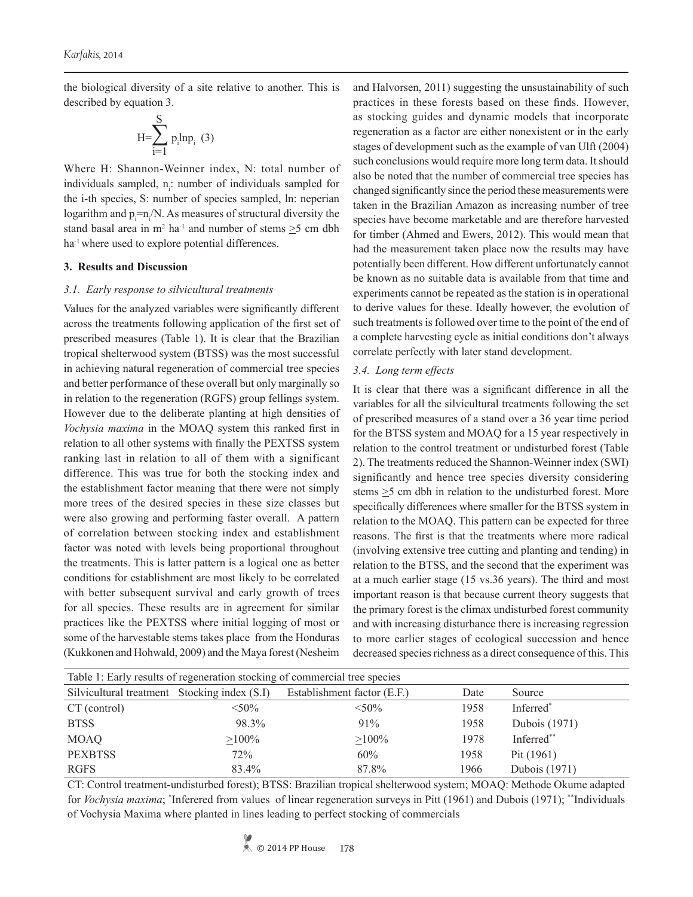the biological diversity of a site relative to another. This is described by equation 3.

$$
H=\sum_{i=1}^{S} p_i l n p_i \quad (3)
$$

Where H: Shannon-Weinner index, N: total number of individuals sampled, n<sub>i</sub>: number of individuals sampled for the i-th species, S: number of species sampled, ln: neperian logarithm and  $p_i = n_i/N$ . As measures of structural diversity the stand basal area in  $m^2$  ha<sup>-1</sup> and number of stems  $\geq$ 5 cm dbh ha<sup>-1</sup> where used to explore potential differences.

## **3. Results and Discussion**

#### *3.1. Early response to silvicultural treatments*

Values for the analyzed variables were significantly different across the treatments following application of the first set of prescribed measures (Table 1). It is clear that the Brazilian tropical shelterwood system (BTSS) was the most successful in achieving natural regeneration of commercial tree species and better performance of these overall but only marginally so in relation to the regeneration (RGFS) group fellings system. However due to the deliberate planting at high densities of *Vochysia maxima* in the MOAQ system this ranked first in relation to all other systems with finally the PEXTSS system ranking last in relation to all of them with a significant difference. This was true for both the stocking index and the establishment factor meaning that there were not simply more trees of the desired species in these size classes but were also growing and performing faster overall. A pattern of correlation between stocking index and establishment factor was noted with levels being proportional throughout the treatments. This is latter pattern is a logical one as better conditions for establishment are most likely to be correlated with better subsequent survival and early growth of trees for all species. These results are in agreement for similar practices like the PEXTSS where initial logging of most or some of the harvestable stems takes place from the Honduras (Kukkonen and Hohwald, 2009) and the Maya forest (Nesheim

and Halvorsen, 2011) suggesting the unsustainability of such practices in these forests based on these finds. However, as stocking guides and dynamic models that incorporate regeneration as a factor are either nonexistent or in the early stages of development such as the example of van Ulft (2004) such conclusions would require more long term data. It should also be noted that the number of commercial tree species has changed significantly since the period these measurements were taken in the Brazilian Amazon as increasing number of tree species have become marketable and are therefore harvested for timber (Ahmed and Ewers, 2012). This would mean that had the measurement taken place now the results may have potentially been different. How different unfortunately cannot be known as no suitable data is available from that time and experiments cannot be repeated as the station is in operational to derive values for these. Ideally however, the evolution of such treatments is followed over time to the point of the end of a complete harvesting cycle as initial conditions don't always correlate perfectly with later stand development.

#### *3.4. Long term effects*

It is clear that there was a significant difference in all the variables for all the silvicultural treatments following the set of prescribed measures of a stand over a 36 year time period for the BTSS system and MOAQ for a 15 year respectively in relation to the control treatment or undisturbed forest (Table 2). The treatments reduced the Shannon-Weinner index (SWI) significantly and hence tree species diversity considering stems  $\geq$ 5 cm dbh in relation to the undisturbed forest. More specifically differences where smaller for the BTSS system in relation to the MOAQ. This pattern can be expected for three reasons. The first is that the treatments where more radical (involving extensive tree cutting and planting and tending) in relation to the BTSS, and the second that the experiment was at a much earlier stage (15 vs.36 years). The third and most important reason is that because current theory suggests that the primary forest is the climax undisturbed forest community and with increasing disturbance there is increasing regression to more earlier stages of ecological succession and hence decreased species richness as a direct consequence of this. This

| Table 1: Early results of regeneration stocking of commercial tree species |          |                             |      |               |  |  |  |  |  |  |
|----------------------------------------------------------------------------|----------|-----------------------------|------|---------------|--|--|--|--|--|--|
| Silvicultural treatment Stocking index (S.I)                               |          | Establishment factor (E.F.) | Date | Source        |  |  |  |  |  |  |
| CT (control)                                                               | $< 50\%$ | $< 50\%$                    | 1958 | Inferred*     |  |  |  |  |  |  |
| <b>BTSS</b>                                                                | 98.3%    | 91%                         | 1958 | Dubois (1971) |  |  |  |  |  |  |
| <b>MOAQ</b>                                                                | $>100\%$ | $>100\%$                    | 1978 | Inferred**    |  |  |  |  |  |  |
| <b>PEXBTSS</b>                                                             | 72%      | 60%                         | 1958 | Pit $(1961)$  |  |  |  |  |  |  |
| <b>RGFS</b>                                                                | 83.4%    | 87.8%                       | 1966 | Dubois (1971) |  |  |  |  |  |  |

CT: Control treatment-undisturbed forest); BTSS: Brazilian tropical shelterwood system; MOAQ: Methode Okume adapted for *Vochysia maxima*; \* Inferered from values of linear regeneration surveys in Pitt (1961) and Dubois (1971); \*\*Individuals of Vochysia Maxima where planted in lines leading to perfect stocking of commercials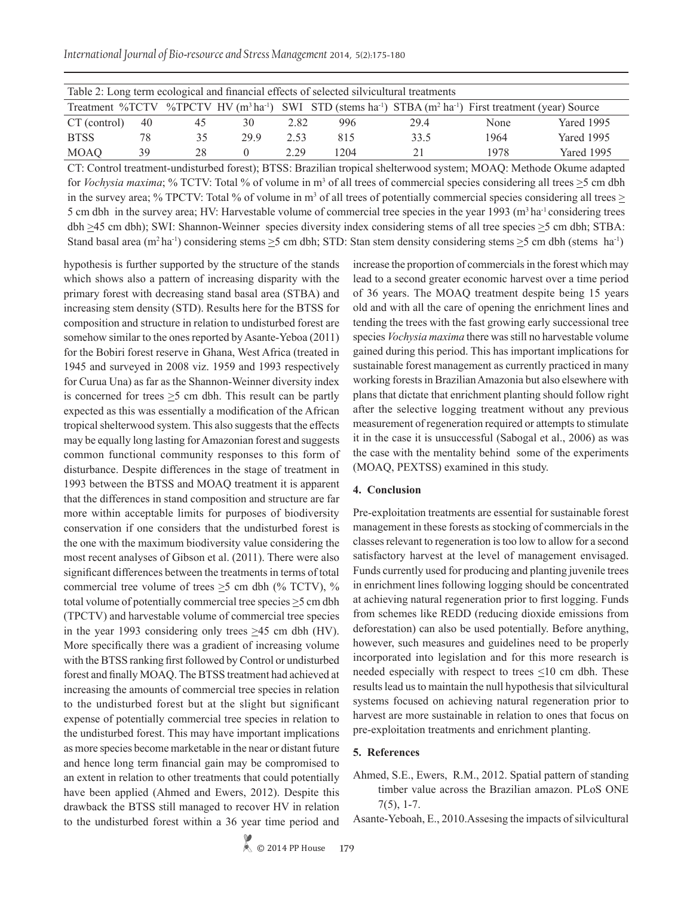| Table 2: Long term ecological and financial effects of selected silvicultural treatments                                                                             |    |    |     |      |      |      |      |            |  |  |  |
|----------------------------------------------------------------------------------------------------------------------------------------------------------------------|----|----|-----|------|------|------|------|------------|--|--|--|
| Treatment %TCTV %TPCTV HV (m <sup>3</sup> ha <sup>-1</sup> ) SWI STD (stems ha <sup>-1</sup> ) STBA (m <sup>2</sup> ha <sup>-1</sup> ) First treatment (year) Source |    |    |     |      |      |      |      |            |  |  |  |
| CT (control)                                                                                                                                                         | 40 | 45 | 30  | 2.82 | 996  | 294  | None | Yared 1995 |  |  |  |
| <b>BTSS</b>                                                                                                                                                          | 78 | 35 | 299 | 2.53 | 815  | 33.5 | 1964 | Yared 1995 |  |  |  |
| <b>MOAQ</b>                                                                                                                                                          | 39 | 28 |     | 2.29 | 1204 |      | 1978 | Yared 1995 |  |  |  |

CT: Control treatment-undisturbed forest); BTSS: Brazilian tropical shelterwood system; MOAQ: Methode Okume adapted for *Vochysia maxima*; % TCTV: Total % of volume in  $m<sup>3</sup>$  of all trees of commercial species considering all trees  $\geq$ 5 cm dbh in the survey area; % TPCTV: Total % of volume in  $m<sup>3</sup>$  of all trees of potentially commercial species considering all trees  $\geq$ 5 cm dbh in the survey area; HV: Harvestable volume of commercial tree species in the year 1993 (m<sup>3</sup> ha<sup>-1</sup> considering trees dbh  $\geq$ 45 cm dbh); SWI: Shannon-Weinner species diversity index considering stems of all tree species  $\geq$ 5 cm dbh; STBA: Stand basal area  $(m^2 \text{ ha}^{-1})$  considering stems  $\geq 5$  cm dbh; STD: Stan stem density considering stems  $\geq 5$  cm dbh (stems ha<sup>-1</sup>)

hypothesis is further supported by the structure of the stands which shows also a pattern of increasing disparity with the primary forest with decreasing stand basal area (STBA) and increasing stem density (STD). Results here for the BTSS for composition and structure in relation to undisturbed forest are somehow similar to the ones reported by Asante-Yeboa (2011) for the Bobiri forest reserve in Ghana, West Africa (treated in 1945 and surveyed in 2008 viz. 1959 and 1993 respectively for Curua Una) as far as the Shannon-Weinner diversity index is concerned for trees  $\geq$ 5 cm dbh. This result can be partly expected as this was essentially a modification of the African tropical shelterwood system. This also suggests that the effects may be equally long lasting for Amazonian forest and suggests common functional community responses to this form of disturbance. Despite differences in the stage of treatment in 1993 between the BTSS and MOAQ treatment it is apparent that the differences in stand composition and structure are far more within acceptable limits for purposes of biodiversity conservation if one considers that the undisturbed forest is the one with the maximum biodiversity value considering the most recent analyses of Gibson et al. (2011). There were also significant differences between the treatments in terms of total commercial tree volume of trees  $\geq$ 5 cm dbh (% TCTV), % total volume of potentially commercial tree species  $\geq$ 5 cm dbh (TPCTV) and harvestable volume of commercial tree species in the year 1993 considering only trees >45 cm dbh (HV). More specifically there was a gradient of increasing volume with the BTSS ranking first followed by Control or undisturbed forest and finally MOAQ. The BTSS treatment had achieved at increasing the amounts of commercial tree species in relation to the undisturbed forest but at the slight but significant expense of potentially commercial tree species in relation to the undisturbed forest. This may have important implications as more species become marketable in the near or distant future and hence long term financial gain may be compromised to an extent in relation to other treatments that could potentially have been applied (Ahmed and Ewers, 2012). Despite this drawback the BTSS still managed to recover HV in relation to the undisturbed forest within a 36 year time period and

increase the proportion of commercials in the forest which may lead to a second greater economic harvest over a time period of 36 years. The MOAQ treatment despite being 15 years old and with all the care of opening the enrichment lines and tending the trees with the fast growing early successional tree species *Vochysia maxima* there was still no harvestable volume gained during this period. This has important implications for sustainable forest management as currently practiced in many working forests in Brazilian Amazonia but also elsewhere with plans that dictate that enrichment planting should follow right after the selective logging treatment without any previous measurement of regeneration required or attempts to stimulate it in the case it is unsuccessful (Sabogal et al., 2006) as was the case with the mentality behind some of the experiments (MOAQ, PEXTSS) examined in this study.

## **4. Conclusion**

Pre-exploitation treatments are essential for sustainable forest management in these forests as stocking of commercials in the classes relevant to regeneration is too low to allow for a second satisfactory harvest at the level of management envisaged. Funds currently used for producing and planting juvenile trees in enrichment lines following logging should be concentrated at achieving natural regeneration prior to first logging. Funds from schemes like REDD (reducing dioxide emissions from deforestation) can also be used potentially. Before anything, however, such measures and guidelines need to be properly incorporated into legislation and for this more research is needed especially with respect to trees  $\leq 10$  cm dbh. These results lead us to maintain the null hypothesis that silvicultural systems focused on achieving natural regeneration prior to harvest are more sustainable in relation to ones that focus on pre-exploitation treatments and enrichment planting.

## **5. References**

Ahmed, S.E., Ewers, R.M., 2012. Spatial pattern of standing timber value across the Brazilian amazon. PLoS ONE 7(5), 1-7.

Asante-Yeboah, E., 2010.Assesing the impacts of silvicultural